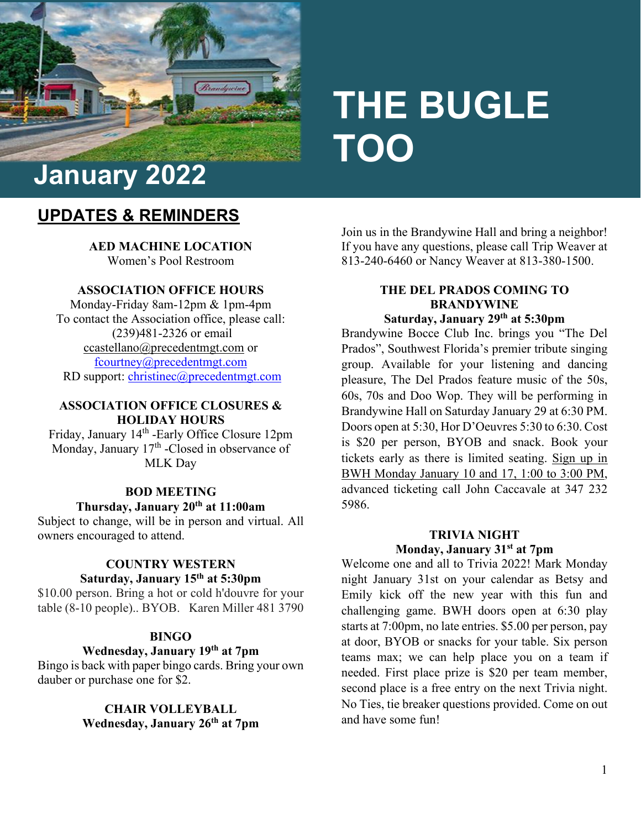

# **THE BUGLE TOO**

## **UPDATES & REMINDERS**

**AED MACHINE LOCATION**  Women's Pool Restroom

#### **ASSOCIATION OFFICE HOURS**

Monday-Friday 8am-12pm & 1pm-4pm To contact the Association office, please call: (239)481-2326 or email [ccastellano@precedentmgt.com](mailto:ccastellano@precedentmgt.com) or [fcourtney@precedentmgt.com](mailto:fcourtney@precedentmgt.com) RD support: [christinec@precedentmgt.com](mailto:christinec@precedentmgt.com)

#### **ASSOCIATION OFFICE CLOSURES & HOLIDAY HOURS**

Friday, January 14<sup>th</sup> -Early Office Closure 12pm Monday, January 17<sup>th</sup> -Closed in observance of MLK Day

#### **BOD MEETING**

#### **Thursday, January 20th at 11:00am**

Subject to change, will be in person and virtual. All owners encouraged to attend.

#### **COUNTRY WESTERN Saturday, January 15th at 5:30pm**

\$10.00 person. Bring a hot or cold h'douvre for your table (8-10 people).. BYOB. Karen Miller 481 3790

#### **BINGO**

## **Wednesday, January 19th at 7pm**

Bingo is back with paper bingo cards. Bring your own dauber or purchase one for \$2.

#### **CHAIR VOLLEYBALL Wednesday, January 26th at 7pm**

Join us in the Brandywine Hall and bring a neighbor! If you have any questions, please call Trip Weaver at 813-240-6460 or Nancy Weaver at 813-380-1500.

## **THE DEL PRADOS COMING TO BRANDYWINE**

## **Saturday, January 29th at 5:30pm**

Brandywine Bocce Club Inc. brings you "The Del Prados", Southwest Florida's premier tribute singing group. Available for your listening and dancing pleasure, The Del Prados feature music of the 50s, 60s, 70s and Doo Wop. They will be performing in Brandywine Hall on Saturday January 29 at 6:30 PM. Doors open at 5:30, Hor D'Oeuvres 5:30 to 6:30. Cost is \$20 per person, BYOB and snack. Book your tickets early as there is limited seating. Sign up in BWH Monday January 10 and 17, 1:00 to 3:00 PM, advanced ticketing call John Caccavale at 347 232 5986.

### **TRIVIA NIGHT Monday, January 31st at 7pm**

Welcome one and all to Trivia 2022! Mark Monday night January 31st on your calendar as Betsy and Emily kick off the new year with this fun and challenging game. BWH doors open at 6:30 play starts at 7:00pm, no late entries. \$5.00 per person, pay at door, BYOB or snacks for your table. Six person teams max; we can help place you on a team if needed. First place prize is \$20 per team member, second place is a free entry on the next Trivia night. No Ties, tie breaker questions provided. Come on out and have some fun!